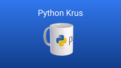# Python Krus

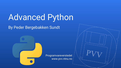# Advanced Python

By Peder Bergebakken Sundt



Programvareverstedet www.pvv.ntnu.no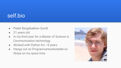### self.bio

- Peder Bergebakken Sundt
- 21 years old
- In my third year for a Master of Science in Communication technology
- Worked with Python for  $\sim$ 9 years
- Hangs out on Programvareverkstedet on Stripa on my spare time

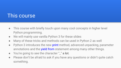### This course

- This course with briefly touch upon many cool concepts in higher level Python programming.
- We will mainly use vanilla Python 3 for these slides
- Many of these tricks and methods can be used in Python 2 as well
- Python 3 introduces the new print method, advanced unpacking, parameter annotations and the **yield from** statement among many other things.
- You're going to see the character "\_" **a lot**.
- Please don't be afraid to ask if you have any questions or didn't quite catch something.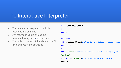### The Interactive Interpreter

- The interactive interpreter runs Python code one line at a time.
- Any returned value is printed out, formatted using the **repr()** method
- The code on the left of this slide is how i'll display most of the examples

```
>>> i return a value()
5
>>> 5
5
>>> None
>>> i_return_None()# None is the default return value
>>> 2 + 2
4
>>> "foobar"# return values are printed using repr()
'foobar'
>>> print("foobar")# print() formats using str()
foobar
```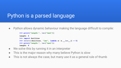## Python is a parsed language

● Python allows dynamic behaviour making the language difficult to compile:

```
>>> print("length:", len("test"))
length: 4
>>> import builtins
>>> setattr(builtins, "len", lambda x: x.__len__() + 5)
>>> print("length:", len("test"))
length: 9
```
- We solve this by running it in an interpreter
- This is the major reason why many believe Python is slow
- This is not always the case, but many use it as a general rule of thumb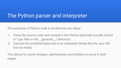### The Python parser and interpreter

The execution of Python code is divided into two steps:

- 1. Parse the source code and compile it into Python bytecode (usually stored in \*.pyc files or the \_\_pycache\_\_/ directory)
- 2. Execute the simplified bytecode in an interpreter (kinda like the Java VM but not really)

This allows for some changes, optimizations and oddities to occur in both stages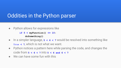### Oddities in the Python parser

● Python allows for expressions like

**if 5 < myFunction() <= 10: doSomething()**

- In a simpler language, **5 < 6 < 7** would be resolved into something like **True < 7**, which is not what we want.
- Python notices a pattern here while parsing the code, and changes the code from **5 < 6 < 7** into **5 < 6 and 6 < 7**
- $\bullet$  We can have some fun with this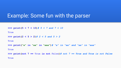### Example: Some fun with the parser

```
>>> print(5 < 7 < 10)# 5 < 7 and 7 < 10
```
**True**

```
>>> print(2 < 5 > 2)# 2 < 5 and 5 > 2
```
**True**

```
>>> print("a" in "aa" in "aaa")# "a" in "aa" and "aa" in "aaa"
```
**True**

**>>> print(not 7 == True is not False)***# not 7 == True and True is not False*

**True**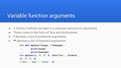### Variable function arguments

- A Python method can take in a unknown amount of arguments
- These come in the form of lists and dictionaries
- \* denotes a list of positional arguments
- \*\* denotes a list of keyword arguments

```
>>> def myfunc(*args, **kwargs):
... print(args)
... print(kwargs)
>>> myfunc(1, 2, 3, 4, foo="bar", five=5)
(1, 2, 3, 4)
{'foo': 'bar', 'five': 5}
```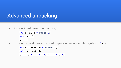### Advanced unpacking

• Python 2 had iterator unpacking:

```
>>> a, b, c = range(3)
>>> (a, c)
(0, 2)
```
● Python 3 introduces advanced unpacking using similar syntax to \*args:

**>>> a, \*rest, b = range(10) >>> (a, rest, b) (0, [1, 2, 3, 4, 5, 6, 7, 8], 9)**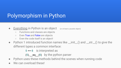# Polymorphism in Python

- Everything in Python is an object (or at least a psuedo object)
	- Functions and classes are objects
	- Even True and False are objects
	- Even the code itself is an object!
- Python 1 introduced function names like \_\_init\_() and \_\_str\_() to give the different types a common interface:

5 == 6 is interpreted as

(5).\_\_eq\_\_(6) by the python parser

- Python uses these methods behind the scenes when running code
- We can overload these!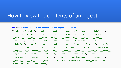### How to view the contents of an object

**>>> dir(5)***#Lets look at the attributes the object 5 contains*

| $[\, ' \underline{\hspace{0.3cm}} \text{abs} \underline{\hspace{0.3cm}} \, ', \, \, ' \underline{\hspace{0.3cm}} \text{add} \underline{\hspace{0.3cm}} \, ', \, \, ' \underline{\hspace{0.3cm}} \text{and} \underline{\hspace{0.3cm}} \, ', \, \, ' \underline{\hspace{0.3cm}} \text{bool} \underline{\hspace{0.3cm}} \, ', \, \, ' \underline{\hspace{0.3cm}} \text{ceil} \underline{\hspace{0.3cm}} \, ', \, \, ' \underline{\hspace{0.3cm}} \text{class} \underline{\hspace{0.3cm}} \, ', \, \, ' \underline{\hspace{0$ |
|----------------------------------------------------------------------------------------------------------------------------------------------------------------------------------------------------------------------------------------------------------------------------------------------------------------------------------------------------------------------------------------------------------------------------------------------------------------------------------------------------------------------------|
| '_dir_', '_divmod_', '_doc_', '_eq_', '_float_', '_floor_', '_floordiv_',                                                                                                                                                                                                                                                                                                                                                                                                                                                  |
| $'$ __format__', '__ge__', '__getattribute__', '__getnewargs__', '__gt__', '__hash__',                                                                                                                                                                                                                                                                                                                                                                                                                                     |
| '_index_', '_init_', '_init_subclass_', '_int_', '_invert_', '_le_',                                                                                                                                                                                                                                                                                                                                                                                                                                                       |
| ' lshift ', ' lt ', ' mod ', ' mul ', ' ne ', ' neg ', ' new ', ' or ',                                                                                                                                                                                                                                                                                                                                                                                                                                                    |
| ' pos ', '_pow_', '_radd_', '_rand_', '_rdivmod_', '_reduce_', '_reduce_ex_',                                                                                                                                                                                                                                                                                                                                                                                                                                              |
| '__repr__', '__rfloordiv__', '__rlshift__', '__rmod__', '__rmul__', '__ror__', '__round__',                                                                                                                                                                                                                                                                                                                                                                                                                                |
| ' rpow ', '_rrshift_', '_rshift_', '_rsub_', '_rtruediv_', '_rxor_',                                                                                                                                                                                                                                                                                                                                                                                                                                                       |
| ' setattr ', ' sizeof ', ' str ', ' sub ', ' subclasshook ', ' truediv ',                                                                                                                                                                                                                                                                                                                                                                                                                                                  |
| ' trunc ', ' xor ', 'bit length', 'conjugate', 'denominator', 'from bytes', 'imag',                                                                                                                                                                                                                                                                                                                                                                                                                                        |
| 'numerator', 'real', 'to bytes']                                                                                                                                                                                                                                                                                                                                                                                                                                                                                           |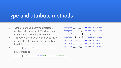### Type and attribute methods

- Python 1 defined a common interface for objects to implement. This has been built upon and extended since then.
- This convention is what allows us to make our objects able to cooperate as well as they do!
- **● if [1, 2]: print("The list has members")**

is interpreted as

**myobject.\_\_int\_\_() == int (myobject) myobject.\_\_str\_\_() == str (myobject) myobject.\_\_repr\_\_() == repr(myobject) myobject.\_\_bool\_\_() == bool(myobject) myobject.\_\_len\_\_() == len (myobject) myobject.\_\_list\_\_() == list(myobject) myobject.\_\_iter\_\_() == iter(myobject)**

if  $[1, 2]$ . bool (): print("The list has members")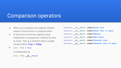### Comparison operators

- When you compare two objects, Python needs to know how to compare them.
- A least one of the two objects must implement a comparison method for this to work. This is a method which usually returns either True or False
- **● ["a", "b"] > None**

is interpreted as

**["a", "b"].\_\_gt\_\_(None)**

|  | myobject. It (self, other) #Less than             |
|--|---------------------------------------------------|
|  | myobject. le (self, other) #Less than or equal    |
|  | myobject. eq (self, other) #Equals                |
|  | myobject. ne (self, other) #Not Equal             |
|  | myobject. gt (self, other) #Greater than          |
|  | myobject. ge (self, other) #Greater than or equal |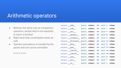### Arithmetic operators

- Behaves the same way as comparison operators, except they're not expected to return a boolean
- Right hand side counterparts exists as well
- Operator precedence is handled by the parser and can not be overridden

*(as far as i know)*

| $object.__add__$ (self, other) == self + other      |                                 |  |  |
|-----------------------------------------------------|---------------------------------|--|--|
| $object.__sub__$ (self, other) == self - other      |                                 |  |  |
| object. $mu1$ (self, other) == self * other         |                                 |  |  |
| object. matmul (self, other) == self @ other        |                                 |  |  |
| object. truediv (self, other) == self / other       |                                 |  |  |
| object. floordiv (self, other) == self // other     |                                 |  |  |
| object. mod (self, other) == self $%$ other         |                                 |  |  |
| object. pow (self, other) == self ** other          |                                 |  |  |
| object. Ishift (self, other) == self $\lt\lt$ other |                                 |  |  |
| object. $rshift$ (self, other) == self >> other     |                                 |  |  |
| object. and                                         | $(self, other) == self & other$ |  |  |
| object. xor                                         | $(self, other) == self' other$  |  |  |
| object. or $(self, other) == self   other$          |                                 |  |  |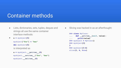### Container methods

- Lists, dictionaries, sets, tuples, deques and strings all use the same container interface methods:
- **● a = myobject[5]**

```
myobject["foo"] = "bar"
del myobject[5]
is interpreted as
a = myobject.__getitem__(5)
myobject.__setitem__("foo", "bar")
myobject.__delitem__(5)
```
**●** Slicing was hacked in as an afterthought:

```
>>> class MyClass:
... def getitem (self, value):
... print(value)
>>> myobject = MyClass()
>>> myobject[3]
3
>>> myobject[3:4]
slice(3, 4, None)
```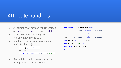### Attribute handlers

- All objects must have an implementation of \_\_getattr\_\_, \_\_setattr\_\_ and \_\_delattr\_\_
- Luckily you inherit a very good implementation by default!
- Used whenever you access a member attribute of an object:

```
print(myobject.foo)
```
is executed as

```
print(myobject.__getattr__("foo"))
```
● Similar interface to containers, but must be implemented on all objects

- **>>> class AttributeDict(dict):**
- **... \_\_getattr\_\_ = dict.\_\_getitem\_\_**
- **... \_\_setattr\_\_ = dict.\_\_setitem\_\_**
- ... delattr = dict. delitem
- **>>> mydict = AttributeDict()**
- **>>> mydict["foo"] = 5**

```
>>> print(mydict.foo)
```

```
5
```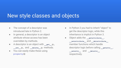### New style classes and objects

- The concept of a descriptor was introduced late in Python 2.
- In general, a descriptor is an object attribute whose access has been overridden by methods.
- A descriptor is an object with get (), **\_\_set\_\_(),** and **\_\_delete\_\_()** methods.
- You can easily make these using **property()**
- **●** In Python 2 you had to inherit "object" to get the descriptor logic, while this inheritance is implicit in Python 3.
- Object adds the **\_\_getattribute\_\_, \_\_setattribute\_\_** and **\_\_delattribute\_\_** member functions which handle descriptor logic before calling getattr,  $\epsilon$  **setattr** and **delattr** respectively.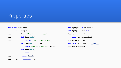### **Properties**

#### **>>> class MyClass:**

| $\cdots$   | $def$ foo():                    | $>>$ myobject. foo = 5      |
|------------|---------------------------------|-----------------------------|
| $\cdots$   | $doc = "The foo property."$     | foo was set to 5            |
| $\ddots$ . | $def$ $fget(self)$ :            | $\gg$ print (myobject. foo) |
| $\ddots$   | return "The value of foo"       | The value of foo            |
| $\ddotsc$  | def fset(self, value):          | >>> print(MyClass.foo. doc) |
| $\ddotsc$  | print ("foo was set to", value) | The foo property.           |
| $\ddots$   | def fdel(self):                 |                             |
| $\ddots$   | pass                            |                             |
| $\ddots$ . | return locals()                 |                             |
| $\ddots$   | $foo = property(**foo())$       |                             |

**>>> myobject = MyClass()**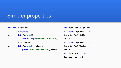### Simpler properties

| >>> class MyClass: |  |
|--------------------|--|
|--------------------|--|

- **... @property**
- **... def foo(self):**
- **... return input("What is foo? ")**
- **... @foo.setter**

**...**

- **... def foo(self, value):**
- **... print("Foo was set to", value)**

**>>> myobject = MyClass() >>> print(myobject.foo) What is foo? Hello Hello >>> print(myobject.foo) What is foo? World World >>> myobject.foo = 5**

**Foo was set to 5**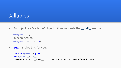### Callables

• An object is a "callable" object if it implements the **call** method

```
myobject(1, 2)
is executed as
myobject.__call__(1, 2)
```
**• def** handles this for you:

```
>>> def myfunc(): pass
>>> myfunc. call
<method-wrapper '__call__' of function object at 0x000000E4B2703E18>
```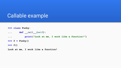### Callable example

```
>>> class Funky:
... def call (self):
... print("Look at me, I work like a function!")
>> f = Funky()
>>> f()
```
**Look at me, I work like a function!**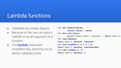### Lambda functions

- Callables are simply objects
- Because of this we can pass a callable in as an argument to a function
- The lambda statement simplifies this, allowing you to define callables inline:

```
>>> def double(value):
        ... return value + value
>>> def call(func):
        ... print('func("test") returns:', func("test"))
>>> call(double)
func("test") returns: testtest
\Rightarrow call(lambda x: x + x + x)
func("test") returns: testtesttest
>>> call(lambda x: 5)
func("test") returns: 5
```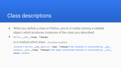### Class descriptions

- When you define a class in Python, you're in reality storing a callable object, which produces instances of the class you described:
- **● MyClass.\_\_call\_\_(\*args, \*\*kwargs)**

```
is a method which does: (somewhat simplified)
```

```
instance = MyClass.__new__(MyClass, *args, **kwargs)# The instance is constructed by __new__
instance. init (*args, **kwargs) # The newly constructed instance is initialized by init
return instance
```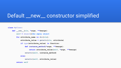### Default \_\_new\_\_ constructor simplified

#### **class MyClass:**

```
 def __new__(cls, *args, **kwargs):
     self = object()#an empty object
     for attribute_name in dir(cls):
         attribute_value = getattr(cls, attribute)
         if type(attribute_value) is function:
             def instance_method(*args, **kwargs):
                 return attribute_value(self, *args, **kwargs)
             setattr(self, instance_method)
         else:
             setattr(self, attribute_value)
     return self
```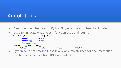### Annotations

- A new feature introduced in Python 3.0, which has not been backported
- Used to annotate what types a function uses and returns

```
>>> def myfunc(a: int, b: str) -> list:
```
- **... assert type(a) is int**
- **... assert type(b) is str**
- **...** *#do something*
- >>> myfunc. annotations

```
{'a': <class 'int'>, 'b': <class 'str'>, 'return': <class 'list'>}
```
• Python does not enforce these in any way, mainly used for documentation and better assistance from IDEs and linters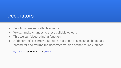### **Decorators**

- Functions are just callable objects
- We can make changes to these callable objects
- This we call "decorating" a function
- A "decorator" is simply a function that takes in a callable object as a parameter and returns the decorated version of that callable object:

```
myfunc = mydecorator(myfunc)
```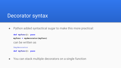### Decorator syntax

● Python added syntactical sugar to make this more practical:

```
def myfunc(): pass
myfunc = mydecorator(myfunc)
can be written as
@mydecorator
def myfunc(): pass
```
● You can stack multiple decorators on a single function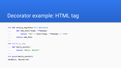### Decorator example: HTML tag

```
>>> def with_b_tag(func):# a decorator
... def new_func(*args, **kwargs):
... return "<b>" + func(*args, **kwargs) + "</b>"
... return new_func
... 
>>> @with_b_tag
... def hello_world():
... return "Hello, World!"
... 
>>> print(hello_world())
<b>Hello, World!</b>
```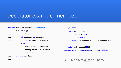### Decorator example: memoizer

| >>> def memoize(func): $# a decorator$             | >>> @memoize                                              |
|----------------------------------------------------|-----------------------------------------------------------|
| memory = $\{\}$<br>$\ddotsc$                       | $\ldots$ def fibonacci(n):                                |
| def new func (argument) :<br>$\ddotsc$             | if $0 \le n \le 1$ :<br>$\cdots$                          |
| if argument in memory:<br>$\cdots$                 | return n<br>.                                             |
| return memory [arqument]<br>$\cdots$               | return fibonacci $(n-1)$ + fibonacci $(n-2)$<br>$\ddotsc$ |
| else:<br>$\ddotsc$                                 | $\ddots$                                                  |
| $value = func(argument)$<br>$\ddot{\phantom{0}}$ . | >>> print(fibonacci(200))                                 |
| $memory[argument] = value$<br>$\cdots$             | 280571172992510140037611932413038677189525                |
| return value<br>$\ddot{\phantom{0}}$ .             |                                                           |
| return new func<br>$\ddotsc$                       |                                                           |
| $\cdots$                                           | $\bullet$ This sayse a lot of runtime                     |

• This saves <u>a lot</u> of runtime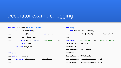### Decorator example: logging

#### **>>> def log(func):***# a decorator*

**...** 

| def new func $(*args)$ :<br>$\cdots$               | de           |
|----------------------------------------------------|--------------|
| $print(func. name + str(args))$<br>$\ddots$        | $\cdots$     |
| $ret = func(*args)$<br>$\cdots$                    | .            |
| print(func. name, "returned:", ret)<br>$\cdots$    | $>>$ p:      |
| return ret<br>$\cdots$                             | bar(')       |
| return new func<br>$\cdots$                        | foo(')       |
| $\ddots$                                           | foo re       |
| $\gg$ @log                                         | $f$ oo $(')$ |
| $\ldots$ def foo(value):                           | foo re       |
| $return$ value.upper() + value.lower()<br>$\cdots$ | bar re       |

#### **>>> @log**

```
... def bar(value1, value2):
         ... return foo(value1)[::-1] + foo(value2)
      >>> print("final result:", bar("Hello", "World"))
      bar('Hello', 'World')
      foo('Hello',)
      foo returned: HELLOhello
      foo('World',)
      foo returned: WORLDworld
      bar returned: ollehOLLEHWORLDworld
final result: ollehOLLEHWORLDworld
```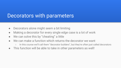### Decorators with parameters

- Decorators alone might seem a bit limiting
- Making a decorator for every single edge case is a lot of work
- We can solve this by "cheating" a little
- We can make a function which returns the decorator we want
	- In this course we'll call them "decorator builders", but they're often just called decorators
- This function will be able to take in other parameters as well!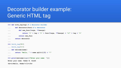## Decorator builder example: Generic HTML tag

```
>>> def with_tag(tag):# a decorator builder
... def decorator(func):# a decorator
... def new_func(*args, **kwargs):
... return "<" + tag + ">" + func(*args, **kwargs) + "</" + tag + ">"
... return new_func
... return decorator
... 
>>> @with_tag("b")
... @with_tag("i")
... def welcome(name):
... return "Hello, " + name.split()[0] + "!"
... 
>>> print(welcome(input("Enter your name: ")))
Enter your name: Peder B. Sundt
<b><i>Hello, Peder!</i></b>
```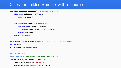### Decorator builder example: with\_resource

```
def with_resource(filename):# a decorator builder
     with open(filename, "r") as f:
        file = f.read() def decorator(func):# a decorator
```

```
 def new_func(*args, **kwargs):
     return func(*args, file, **kwargs)
 return new_func
```
 **return decorator**

**from flask import Flask***# a popular library for web development*

**import time**

```
app = Flask("My server name")
```
**@app.route("/")**

**@with\_resource("resources/frontpage\_template.html")**

```
def frontpage_get(request, template):
     date = time.strftime("%B %d, %Y")
```
 **return template.format({"date": date})**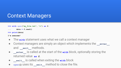### Context Managers

```
>>> with open("my_file.txt", "r") as f:
```
- **... data = f.read()**
- **>>> print(data)**
- **I'm awesome!**
- The **with** statement uses what we call a context manager
- Context managers are simply an object which implements the **Legation** and **exit** methods.
- **• Lenter** is called at the start of the **with** block, optionally storing the returned value **as f**.
- **EXECUTE:** is called when exiting the with block
- open () uses its **exit** method to close the file.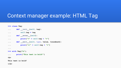### Context manager example: HTML Tag

#### **>>> class Tag:**

| def init (self, tag):<br>.                    |
|-----------------------------------------------|
| $self.taq = taq$<br>$\ddots$                  |
| def enter (self):<br>$\cdots$                 |
| $print("<" + self.tag + ">")$<br>.            |
| def exit (self, type, value, traceback):<br>. |
| $print("")$<br>$\cdots$                       |
| $\cdots$                                      |
| $>>$ with Taq("b"):                           |
| print("This text is bold!")<br>$\cdots$       |
| $\langle \text{b} \rangle$                    |
| This text is bold!                            |
| $\langle$ /b>                                 |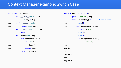### Context Manager example: Switch Case

### **>>> class switch():** ... def init (self, key): **... self.key = key** ... def enter (self): **... return self.case** ... def exit (self, \*args): **... pass ... def case(self, key): ... def decorator(func): ... if self.key == key: ... func() ... return func ... return decorator ...**

|                       | >>> for key in $(4, 5, 6)$ :              |
|-----------------------|-------------------------------------------|
| $\cdots$              | print ("key is", key)                     |
| $\cdots$              | with switch (key) as case: $#$ the switch |
| $\cdots$              | $\theta$ case $(4)$                       |
| $\ddot{\phantom{0}}$  | def unimportant name():                   |
| .                     | print ("foo")                             |
| $\bullet\quad\bullet$ | $\theta$ case $(5)$                       |
| $\cdots$              | @case(6)                                  |
| $\ddot{\phantom{0}}$  | def unimportant name():                   |
| $\ddot{\phantom{0}}$  | print ("bar")                             |
| .                     |                                           |
| key is 4              |                                           |
| foo                   |                                           |
| key is 5              |                                           |
| bar                   |                                           |
| key is 6              |                                           |
| bar                   |                                           |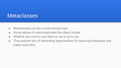### **Metaclasses**

- Metaclasses can be a controversial topic
- Some believe it overcomplicates the object model
- Whether you want to use them or not is up to you
- They present lots of interesting opportunities for reducing boilerplate and make nicer APIs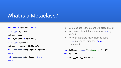### What is a Metaclass?

- **>>> class MyClass: pass**
- **>>> type(MyClass)**
- **<class 'type'>**
- **>>> myobject = MyClass()**
- **>>> type(myobject)**
- **<class '\_\_main\_\_.MyClass'>**
- **>>> isinstance(myobject, MyClass)**

#### **True**

**True**

```
>>> isinstance(MyClass, type)
```
- A metaclass is the parent of a class object
- All classes inherit the metaclass **type** by default
- We can therefore make classes using **type** instead of using the **class**  statement:

**>>> MyClass = type('MyClass', (), {})**

**>>> MyClass**

**<class '\_\_main\_\_.MyClass'>**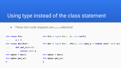### Using type instead of the class statement

 $\bullet$  These two code snippets are  $_{(almost)}$  identical:

```
>>> class Foo:
... x = 5
>>> class Bar(Foo):
... def get_x(self):
... return self.x
>>> mybar = Bar()
>>> mybar.get x()
5
                              \Rightarrow Foo = type('Foo', (), dict(x=5))
                              >>> Bar = type('Bar', (Foo,), dict(get_x = lambda self: self.x))
                              >>> mybar = Bar()
                              >>> mybar.get_x()
                              5
```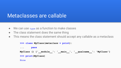### Metaclasses are callable

- We can use **type** as a function to make classes
- The class statement does the same thing
- This means the class statement should accept any callable as a metaclass

```
>>> class MyClass(metaclass = print):
... pass
MyClass () {'__module__': '__main__', '__qualname__': 'MyClass'}
>>> print(MyClass)
None
```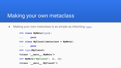### Making your own metaclass

● Making your own metaclass is as simple as inheriting **type**:

```
>>> class MyMeta(type):
... pass
>>> class MyClass1(metaclass = MyMeta):
... pass
>>> type(MyClass1)
<class '__main__.MyMeta'>
>>> MyMeta("MyClass2", (), {})
<class '__main__.MyClass2'>
```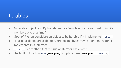### **Iterables**

- An terable object is in Python defined as "An object capable of returning its members one at a time."
- Most of Python considers an object to be iterable if it implements **iter**
- Lists, sets, dictionaries, deques, strings and bytearrays among many other implements this interface.
- **\_\_iter\_\_** is a method that returns an Iterator-like object
- The built in function iter (myobject) simply returns myobject. iter ()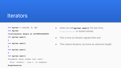### **Iterators**

```
>>> myiter = iter([1, 2, 3])
```
**>>> myiter**

```
<listiterator object at 0x7f855c944400>
```

```
>>> myiter.next()
```
**1**

```
>>> myiter.next()
```
**2**

```
>>> myiter.next()
```
**3**

```
>>> myiter.next()
```
**Traceback (most recent call last):**

```
File "<stdin>", line 1, in <module>
```
#### **StopIteration**

- when we call **myiter.next()** the last time, StopIteration is raised instead.
- This is how an iterator signals their end
- This means iterators can have an unknown length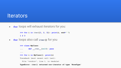### **Iterators**

**• for** loops will exhaust iterators for you:

```
>>> for i in iter([1, 2, 3]): print(i, end=" ")
1 2 3
```
● **for** loops also call **iter()** for you

```
>>> class MyClass:
... def __iter__(self): pass
...
>>> for i in MyClass(): print(i)
Traceback (most recent call last):
  File "<stdin>", line 1, in <module>
TypeError: iter() returned non-iterator of type 'NoneType'
```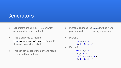### **Generators**

- Generators are a kind of iterator which generates its values on-the-fly
- This is achieved by making **iter(mygenerator()).next()** compute the next value when called
- This can save a lot of memory and result in some nifty speedups
- Python 3 changed the **range** method from producing a list to producing a generator:
- Python 2:
	- **>>> range(5)**
	- **[0, 1, 2, 3, 4]**
- Python 3:

**>>> range(5) range(0, 5) >>> list(range(5)) [0, 1, 2, 3, 4]**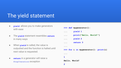### The yield statement

- **yield** allows you to make generators with ease
- The **yield** statement resembles **return** in many ways
- When **yield** is called, the value is outputted and the function is halted until next value is requested.
- **return** in a generator will raise a **StopIteration** exception

**>>> def mygenerator(): ... yield 1 ... print("Hello, World!") ... yield 2 ... return 3 ... >>> for i in mygenerator(): print(i) ... 1 Hello, World! 2**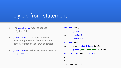### The yield from statement

- The **yield from** was introduced in Python 3.4
- **yield from** is used when you want to pass along the result from an another generator through your own generator
- **yield from** will return any value stored in **StopIteration**

```
>>> def foo():
... yield 1
... yield 2
... return 3
>>> def bar():
... ret = yield from foo()
... print("foo returned:", ret)
>>> for i in bar(): print(i)
1
2
foo returned: 3
```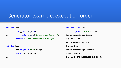### Generator example: execution order

```
>>> def foo():
... for _ in range(3):
... yield input("Write something: ")
... return "I was returned by foo()"
... 
>>> def bar():
... ret = yield from foo()
... yield ret.upper()
... 
                                                >>> for i in bar():
                                                ... print("I got:", i)
                                               Write something: Alice
                                                I got: Alice
                                                Write something: Bob
                                                I got: Bob
                                                Write something: Foobar
                                                I got: Foobar
                                                I got: I WAS RETURNED BY FOO()
```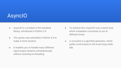## AsyncIO

- AsyncIO is a module in the standard library, introduced in Python 3.4
- The syntax was extended in Python 3.5 to make it more intuitive
- It enables you to handle many different input/output streams simultaneously without resorting to threading
- To achieve this, AsyncIO runs a event loop which schedules coroutines to run at different times
- A coroutine is a glorified generator, which yields control back to the event loop while idle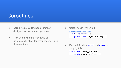### **Coroutines**

- Coroutines are a language construct designed for concurrent operation.
- They use the halting mechanic of generators to allow for other code to run in the meantime
- Coroutines in Python 3.4: **@asyncio.coroutine def hello\_world(): yield from asyncio.sleep(1)**
- Python 3.5 added **async** and **await** to simplify this: **async def hello\_world(): await asyncio.sleep(1)**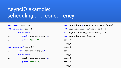## AsynclO example: scheduling and concurrency

```
>>> import asyncio
```

```
>>> async def coro_1():
```

```
... while True:
```

```
... await asyncio.sleep(1)
```

```
... print("coro_1")
```
**...** 

**...** 

```
>>> async def coro_2():
```

```
... await asyncio.sleep(0.5)
```

```
... while True:
```

```
... await asyncio.sleep(1)
```

```
... print("coro_2")
```
- >>> event loop = asyncio.get event loop()
- **>>> asyncio.ensure\_future(coro\_1())**
- >>> asyncio.ensure future(coro 2())
- **>>> event\_loop.run\_forever()**

```
coro_1
```
- **coro\_2**
- **coro\_1**
- **coro\_2**
- **coro\_1**
- **coro\_2**

```
coro_1
```

```
coro_2
```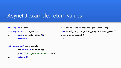### AsyncIO example: return values

```
>>> import asyncio
>>> async def coro_sub():
... await asyncio.sleep(1)
... return 5
```

```
>>> event loop = asyncio.get event loop()
>>> event loop.run until complete(coro main())
coro_sub returned 5
10
```

```
>>> async def coro_main():
```

```
... ret = await coro_sub()
```

```
... print("coro_sub returned", ret)
```

```
... return 10
```
**...** 

**...**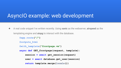### AsyncIO example: web development

● A real code snippet I've written recently. Using **sanic** as the webserver, **airspeed** as the templating engine and **aiopg** to interact with the database.

```
@app.route("/")
@outputs_html
@with_template("frontpage.vm")
async def GET_frontpage(request, template):
     session = await get_session(request)
     user = await database.get_user(session)
     return template.merge(locals())
```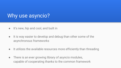### Why use asyncio?

- It's new, hip and cool, and built in
- It is way easier to develop and debug than other some of the asynchronous frameworks
- It utilizes the available resources more efficiently than threading
- There is an ever growing library of asyncio modules, capable of cooperating thanks to the common framework